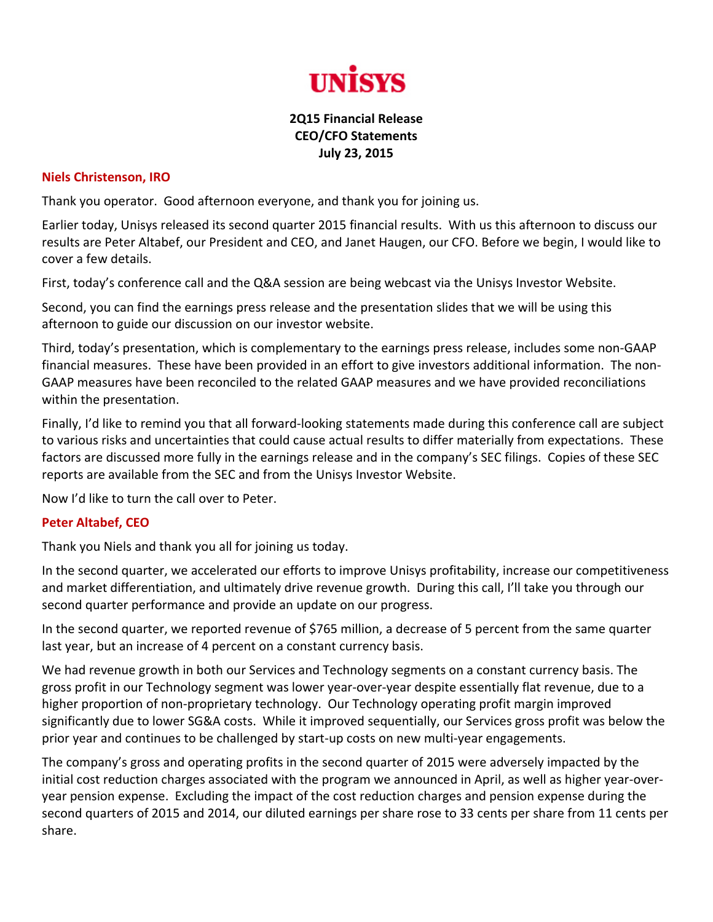

## **2Q15 Financial Release CEO/CFO Statements July 23, 2015**

## **Niels Christenson, IRO**

Thank you operator. Good afternoon everyone, and thank you for joining us.

Earlier today, Unisys released its second quarter 2015 financial results. With us this afternoon to discuss our results are Peter Altabef, our President and CEO, and Janet Haugen, our CFO. Before we begin, I would like to cover a few details.

First, today's conference call and the Q&A session are being webcast via the Unisys Investor Website.

Second, you can find the earnings press release and the presentation slides that we will be using this afternoon to guide our discussion on our investor website.

Third, today's presentation, which is complementary to the earnings press release, includes some non‐GAAP financial measures. These have been provided in an effort to give investors additional information. The non‐ GAAP measures have been reconciled to the related GAAP measures and we have provided reconciliations within the presentation.

Finally, I'd like to remind you that all forward‐looking statements made during this conference call are subject to various risks and uncertainties that could cause actual results to differ materially from expectations. These factors are discussed more fully in the earnings release and in the company's SEC filings. Copies of these SEC reports are available from the SEC and from the Unisys Investor Website.

Now I'd like to turn the call over to Peter.

## **Peter Altabef, CEO**

Thank you Niels and thank you all for joining us today.

In the second quarter, we accelerated our efforts to improve Unisys profitability, increase our competitiveness and market differentiation, and ultimately drive revenue growth. During this call, I'll take you through our second quarter performance and provide an update on our progress.

In the second quarter, we reported revenue of \$765 million, a decrease of 5 percent from the same quarter last year, but an increase of 4 percent on a constant currency basis.

We had revenue growth in both our Services and Technology segments on a constant currency basis. The gross profit in our Technology segment was lower year‐over‐year despite essentially flat revenue, due to a higher proportion of non‐proprietary technology. Our Technology operating profit margin improved significantly due to lower SG&A costs. While it improved sequentially, our Services gross profit was below the prior year and continues to be challenged by start‐up costs on new multi‐year engagements.

The company's gross and operating profits in the second quarter of 2015 were adversely impacted by the initial cost reduction charges associated with the program we announced in April, as well as higher year‐over‐ year pension expense. Excluding the impact of the cost reduction charges and pension expense during the second quarters of 2015 and 2014, our diluted earnings per share rose to 33 cents per share from 11 cents per share.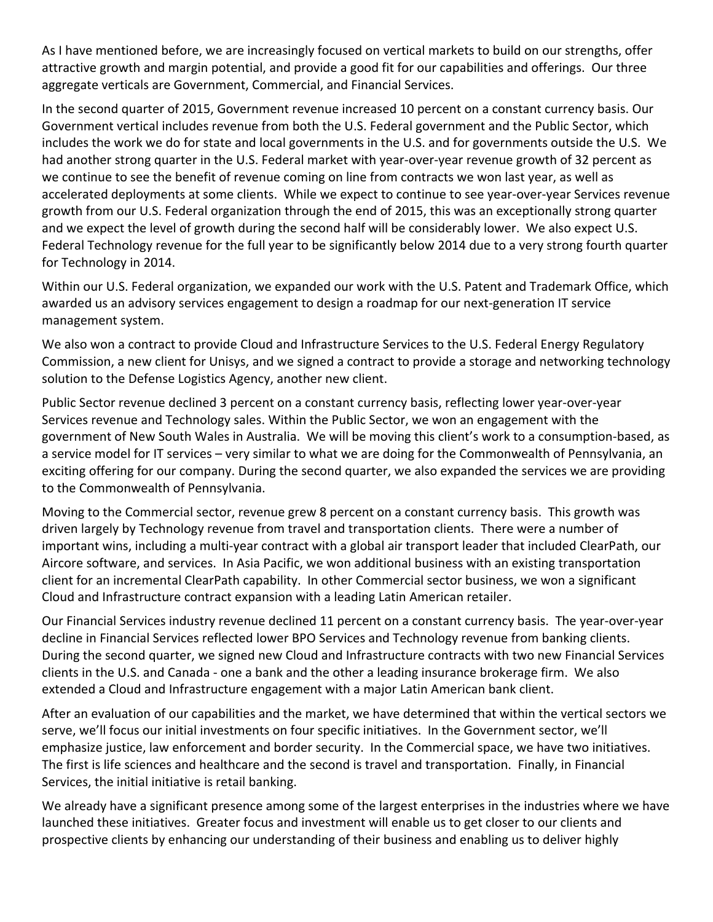As I have mentioned before, we are increasingly focused on vertical markets to build on our strengths, offer attractive growth and margin potential, and provide a good fit for our capabilities and offerings. Our three aggregate verticals are Government, Commercial, and Financial Services.

In the second quarter of 2015, Government revenue increased 10 percent on a constant currency basis. Our Government vertical includes revenue from both the U.S. Federal government and the Public Sector, which includes the work we do for state and local governments in the U.S. and for governments outside the U.S. We had another strong quarter in the U.S. Federal market with year-over-year revenue growth of 32 percent as we continue to see the benefit of revenue coming on line from contracts we won last year, as well as accelerated deployments at some clients. While we expect to continue to see year‐over‐year Services revenue growth from our U.S. Federal organization through the end of 2015, this was an exceptionally strong quarter and we expect the level of growth during the second half will be considerably lower. We also expect U.S. Federal Technology revenue for the full year to be significantly below 2014 due to a very strong fourth quarter for Technology in 2014.

Within our U.S. Federal organization, we expanded our work with the U.S. Patent and Trademark Office, which awarded us an advisory services engagement to design a roadmap for our next-generation IT service management system.

We also won a contract to provide Cloud and Infrastructure Services to the U.S. Federal Energy Regulatory Commission, a new client for Unisys, and we signed a contract to provide a storage and networking technology solution to the Defense Logistics Agency, another new client.

Public Sector revenue declined 3 percent on a constant currency basis, reflecting lower year‐over‐year Services revenue and Technology sales. Within the Public Sector, we won an engagement with the government of New South Wales in Australia. We will be moving this client's work to a consumption‐based, as a service model for IT services – very similar to what we are doing for the Commonwealth of Pennsylvania, an exciting offering for our company. During the second quarter, we also expanded the services we are providing to the Commonwealth of Pennsylvania.

Moving to the Commercial sector, revenue grew 8 percent on a constant currency basis. This growth was driven largely by Technology revenue from travel and transportation clients. There were a number of important wins, including a multi‐year contract with a global air transport leader that included ClearPath, our Aircore software, and services. In Asia Pacific, we won additional business with an existing transportation client for an incremental ClearPath capability. In other Commercial sector business, we won a significant Cloud and Infrastructure contract expansion with a leading Latin American retailer.

Our Financial Services industry revenue declined 11 percent on a constant currency basis. The year‐over‐year decline in Financial Services reflected lower BPO Services and Technology revenue from banking clients. During the second quarter, we signed new Cloud and Infrastructure contracts with two new Financial Services clients in the U.S. and Canada ‐ one a bank and the other a leading insurance brokerage firm. We also extended a Cloud and Infrastructure engagement with a major Latin American bank client.

After an evaluation of our capabilities and the market, we have determined that within the vertical sectors we serve, we'll focus our initial investments on four specific initiatives. In the Government sector, we'll emphasize justice, law enforcement and border security. In the Commercial space, we have two initiatives. The first is life sciences and healthcare and the second is travel and transportation. Finally, in Financial Services, the initial initiative is retail banking.

We already have a significant presence among some of the largest enterprises in the industries where we have launched these initiatives. Greater focus and investment will enable us to get closer to our clients and prospective clients by enhancing our understanding of their business and enabling us to deliver highly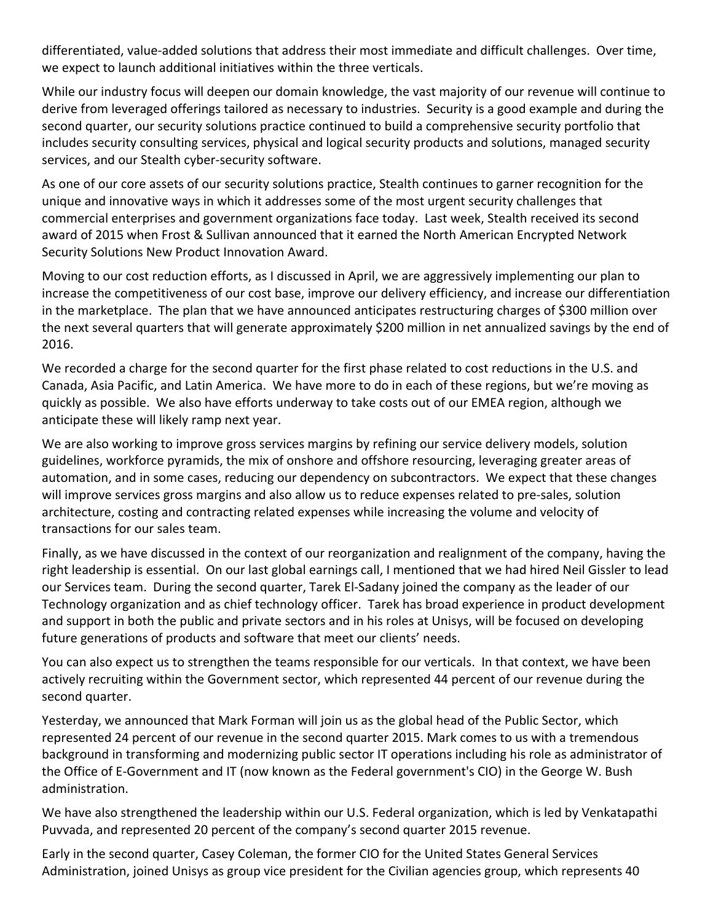differentiated, value-added solutions that address their most immediate and difficult challenges. Over time, we expect to launch additional initiatives within the three verticals.

While our industry focus will deepen our domain knowledge, the vast majority of our revenue will continue to derive from leveraged offerings tailored as necessary to industries. Security is a good example and during the second quarter, our security solutions practice continued to build a comprehensive security portfolio that includes security consulting services, physical and logical security products and solutions, managed security services, and our Stealth cyber‐security software.

As one of our core assets of our security solutions practice, Stealth continues to garner recognition for the unique and innovative ways in which it addresses some of the most urgent security challenges that commercial enterprises and government organizations face today. Last week, Stealth received its second award of 2015 when Frost & Sullivan announced that it earned the North American Encrypted Network Security Solutions New Product Innovation Award.

Moving to our cost reduction efforts, as I discussed in April, we are aggressively implementing our plan to increase the competitiveness of our cost base, improve our delivery efficiency, and increase our differentiation in the marketplace. The plan that we have announced anticipates restructuring charges of \$300 million over the next several quarters that will generate approximately \$200 million in net annualized savings by the end of 2016.

We recorded a charge for the second quarter for the first phase related to cost reductions in the U.S. and Canada, Asia Pacific, and Latin America. We have more to do in each of these regions, but we're moving as quickly as possible. We also have efforts underway to take costs out of our EMEA region, although we anticipate these will likely ramp next year.

We are also working to improve gross services margins by refining our service delivery models, solution guidelines, workforce pyramids, the mix of onshore and offshore resourcing, leveraging greater areas of automation, and in some cases, reducing our dependency on subcontractors. We expect that these changes will improve services gross margins and also allow us to reduce expenses related to pre‐sales, solution architecture, costing and contracting related expenses while increasing the volume and velocity of transactions for our sales team.

Finally, as we have discussed in the context of our reorganization and realignment of the company, having the right leadership is essential. On our last global earnings call, I mentioned that we had hired Neil Gissler to lead our Services team. During the second quarter, Tarek El‐Sadany joined the company as the leader of our Technology organization and as chief technology officer. Tarek has broad experience in product development and support in both the public and private sectors and in his roles at Unisys, will be focused on developing future generations of products and software that meet our clients' needs.

You can also expect us to strengthen the teams responsible for our verticals. In that context, we have been actively recruiting within the Government sector, which represented 44 percent of our revenue during the second quarter.

Yesterday, we announced that Mark Forman will join us as the global head of the Public Sector, which represented 24 percent of our revenue in the second quarter 2015. Mark comes to us with a tremendous background in transforming and modernizing public sector IT operations including his role as administrator of the Office of E‐Government and IT (now known as the Federal government's CIO) in the George W. Bush administration.

We have also strengthened the leadership within our U.S. Federal organization, which is led by Venkatapathi Puvvada, and represented 20 percent of the company's second quarter 2015 revenue.

Early in the second quarter, Casey Coleman, the former CIO for the United States General Services Administration, joined Unisys as group vice president for the Civilian agencies group, which represents 40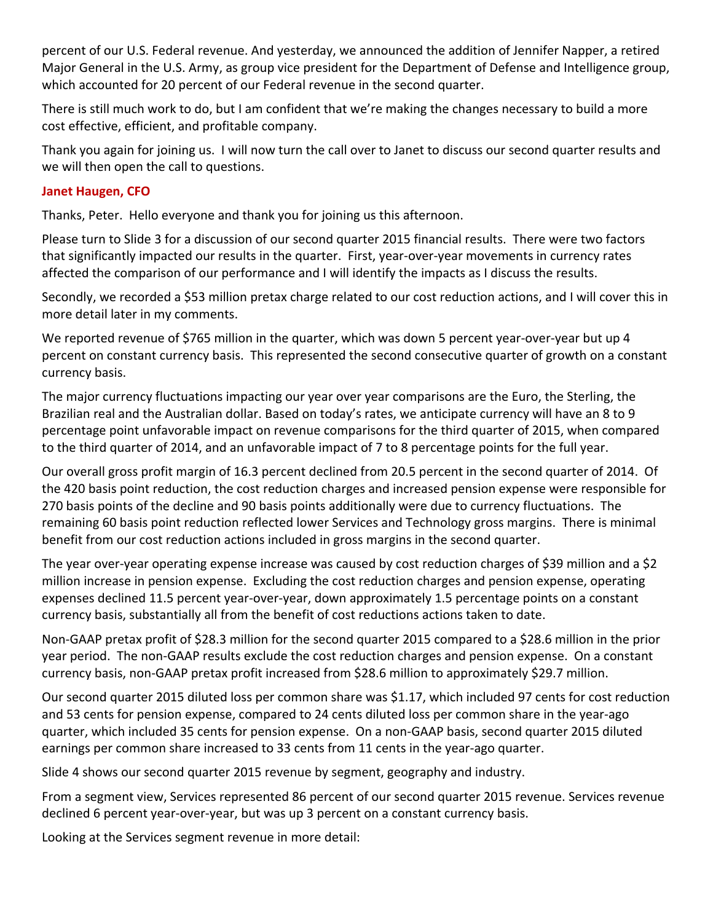percent of our U.S. Federal revenue. And yesterday, we announced the addition of Jennifer Napper, a retired Major General in the U.S. Army, as group vice president for the Department of Defense and Intelligence group, which accounted for 20 percent of our Federal revenue in the second quarter.

There is still much work to do, but I am confident that we're making the changes necessary to build a more cost effective, efficient, and profitable company.

Thank you again for joining us. I will now turn the call over to Janet to discuss our second quarter results and we will then open the call to questions.

## **Janet Haugen, CFO**

Thanks, Peter. Hello everyone and thank you for joining us this afternoon.

Please turn to Slide 3 for a discussion of our second quarter 2015 financial results. There were two factors that significantly impacted our results in the quarter. First, year‐over‐year movements in currency rates affected the comparison of our performance and I will identify the impacts as I discuss the results.

Secondly, we recorded a \$53 million pretax charge related to our cost reduction actions, and I will cover this in more detail later in my comments.

We reported revenue of \$765 million in the quarter, which was down 5 percent year-over-year but up 4 percent on constant currency basis. This represented the second consecutive quarter of growth on a constant currency basis.

The major currency fluctuations impacting our year over year comparisons are the Euro, the Sterling, the Brazilian real and the Australian dollar. Based on today's rates, we anticipate currency will have an 8 to 9 percentage point unfavorable impact on revenue comparisons for the third quarter of 2015, when compared to the third quarter of 2014, and an unfavorable impact of 7 to 8 percentage points for the full year.

Our overall gross profit margin of 16.3 percent declined from 20.5 percent in the second quarter of 2014. Of the 420 basis point reduction, the cost reduction charges and increased pension expense were responsible for 270 basis points of the decline and 90 basis points additionally were due to currency fluctuations. The remaining 60 basis point reduction reflected lower Services and Technology gross margins. There is minimal benefit from our cost reduction actions included in gross margins in the second quarter.

The year over-year operating expense increase was caused by cost reduction charges of \$39 million and a \$2 million increase in pension expense. Excluding the cost reduction charges and pension expense, operating expenses declined 11.5 percent year‐over‐year, down approximately 1.5 percentage points on a constant currency basis, substantially all from the benefit of cost reductions actions taken to date.

Non‐GAAP pretax profit of \$28.3 million for the second quarter 2015 compared to a \$28.6 million in the prior year period. The non‐GAAP results exclude the cost reduction charges and pension expense. On a constant currency basis, non‐GAAP pretax profit increased from \$28.6 million to approximately \$29.7 million.

Our second quarter 2015 diluted loss per common share was \$1.17, which included 97 cents for cost reduction and 53 cents for pension expense, compared to 24 cents diluted loss per common share in the year‐ago quarter, which included 35 cents for pension expense. On a non‐GAAP basis, second quarter 2015 diluted earnings per common share increased to 33 cents from 11 cents in the year-ago quarter.

Slide 4 shows our second quarter 2015 revenue by segment, geography and industry.

From a segment view, Services represented 86 percent of our second quarter 2015 revenue. Services revenue declined 6 percent year‐over‐year, but was up 3 percent on a constant currency basis.

Looking at the Services segment revenue in more detail: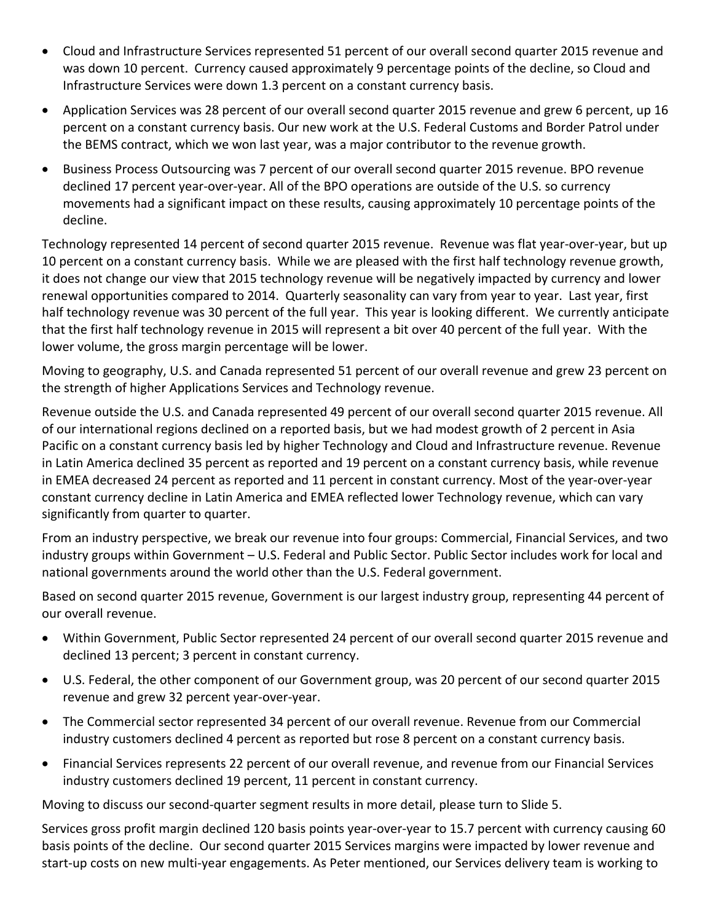- Cloud and Infrastructure Services represented 51 percent of our overall second quarter 2015 revenue and was down 10 percent. Currency caused approximately 9 percentage points of the decline, so Cloud and Infrastructure Services were down 1.3 percent on a constant currency basis.
- Application Services was 28 percent of our overall second quarter 2015 revenue and grew 6 percent, up 16 percent on a constant currency basis. Our new work at the U.S. Federal Customs and Border Patrol under the BEMS contract, which we won last year, was a major contributor to the revenue growth.
- Business Process Outsourcing was 7 percent of our overall second quarter 2015 revenue. BPO revenue declined 17 percent year‐over‐year. All of the BPO operations are outside of the U.S. so currency movements had a significant impact on these results, causing approximately 10 percentage points of the decline.

Technology represented 14 percent of second quarter 2015 revenue. Revenue was flat year‐over‐year, but up 10 percent on a constant currency basis. While we are pleased with the first half technology revenue growth, it does not change our view that 2015 technology revenue will be negatively impacted by currency and lower renewal opportunities compared to 2014. Quarterly seasonality can vary from year to year. Last year, first half technology revenue was 30 percent of the full year. This year is looking different. We currently anticipate that the first half technology revenue in 2015 will represent a bit over 40 percent of the full year. With the lower volume, the gross margin percentage will be lower.

Moving to geography, U.S. and Canada represented 51 percent of our overall revenue and grew 23 percent on the strength of higher Applications Services and Technology revenue.

Revenue outside the U.S. and Canada represented 49 percent of our overall second quarter 2015 revenue. All of our international regions declined on a reported basis, but we had modest growth of 2 percent in Asia Pacific on a constant currency basis led by higher Technology and Cloud and Infrastructure revenue. Revenue in Latin America declined 35 percent as reported and 19 percent on a constant currency basis, while revenue in EMEA decreased 24 percent as reported and 11 percent in constant currency. Most of the year‐over‐year constant currency decline in Latin America and EMEA reflected lower Technology revenue, which can vary significantly from quarter to quarter.

From an industry perspective, we break our revenue into four groups: Commercial, Financial Services, and two industry groups within Government – U.S. Federal and Public Sector. Public Sector includes work for local and national governments around the world other than the U.S. Federal government.

Based on second quarter 2015 revenue, Government is our largest industry group, representing 44 percent of our overall revenue.

- Within Government, Public Sector represented 24 percent of our overall second quarter 2015 revenue and declined 13 percent; 3 percent in constant currency.
- U.S. Federal, the other component of our Government group, was 20 percent of our second quarter 2015 revenue and grew 32 percent year‐over‐year.
- The Commercial sector represented 34 percent of our overall revenue. Revenue from our Commercial industry customers declined 4 percent as reported but rose 8 percent on a constant currency basis.
- Financial Services represents 22 percent of our overall revenue, and revenue from our Financial Services industry customers declined 19 percent, 11 percent in constant currency.

Moving to discuss our second‐quarter segment results in more detail, please turn to Slide 5.

Services gross profit margin declined 120 basis points year‐over‐year to 15.7 percent with currency causing 60 basis points of the decline. Our second quarter 2015 Services margins were impacted by lower revenue and start‐up costs on new multi‐year engagements. As Peter mentioned, our Services delivery team is working to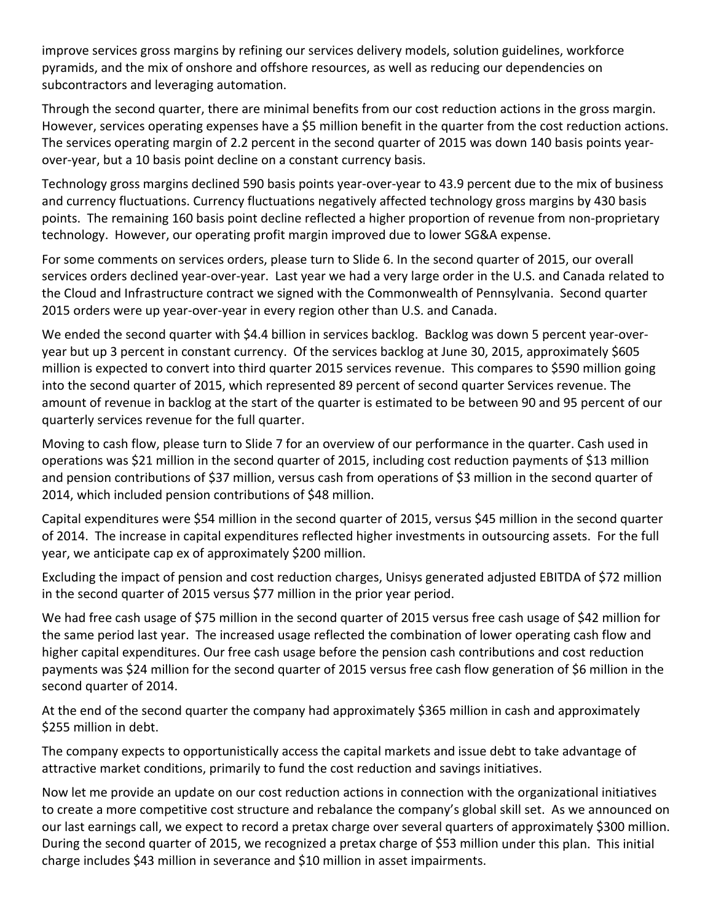improve services gross margins by refining our services delivery models, solution guidelines, workforce pyramids, and the mix of onshore and offshore resources, as well as reducing our dependencies on subcontractors and leveraging automation.

Through the second quarter, there are minimal benefits from our cost reduction actions in the gross margin. However, services operating expenses have a \$5 million benefit in the quarter from the cost reduction actions. The services operating margin of 2.2 percent in the second quarter of 2015 was down 140 basis points year‐ over‐year, but a 10 basis point decline on a constant currency basis.

Technology gross margins declined 590 basis points year‐over‐year to 43.9 percent due to the mix of business and currency fluctuations. Currency fluctuations negatively affected technology gross margins by 430 basis points. The remaining 160 basis point decline reflected a higher proportion of revenue from non‐proprietary technology. However, our operating profit margin improved due to lower SG&A expense.

For some comments on services orders, please turn to Slide 6. In the second quarter of 2015, our overall services orders declined year‐over‐year. Last year we had a very large order in the U.S. and Canada related to the Cloud and Infrastructure contract we signed with the Commonwealth of Pennsylvania. Second quarter 2015 orders were up year‐over‐year in every region other than U.S. and Canada.

We ended the second quarter with \$4.4 billion in services backlog. Backlog was down 5 percent year-overyear but up 3 percent in constant currency. Of the services backlog at June 30, 2015, approximately \$605 million is expected to convert into third quarter 2015 services revenue. This compares to \$590 million going into the second quarter of 2015, which represented 89 percent of second quarter Services revenue. The amount of revenue in backlog at the start of the quarter is estimated to be between 90 and 95 percent of our quarterly services revenue for the full quarter.

Moving to cash flow, please turn to Slide 7 for an overview of our performance in the quarter. Cash used in operations was \$21 million in the second quarter of 2015, including cost reduction payments of \$13 million and pension contributions of \$37 million, versus cash from operations of \$3 million in the second quarter of 2014, which included pension contributions of \$48 million.

Capital expenditures were \$54 million in the second quarter of 2015, versus \$45 million in the second quarter of 2014. The increase in capital expenditures reflected higher investments in outsourcing assets. For the full year, we anticipate cap ex of approximately \$200 million.

Excluding the impact of pension and cost reduction charges, Unisys generated adjusted EBITDA of \$72 million in the second quarter of 2015 versus \$77 million in the prior year period.

We had free cash usage of \$75 million in the second quarter of 2015 versus free cash usage of \$42 million for the same period last year. The increased usage reflected the combination of lower operating cash flow and higher capital expenditures. Our free cash usage before the pension cash contributions and cost reduction payments was \$24 million for the second quarter of 2015 versus free cash flow generation of \$6 million in the second quarter of 2014.

At the end of the second quarter the company had approximately \$365 million in cash and approximately \$255 million in debt.

The company expects to opportunistically access the capital markets and issue debt to take advantage of attractive market conditions, primarily to fund the cost reduction and savings initiatives.

Now let me provide an update on our cost reduction actions in connection with the organizational initiatives to create a more competitive cost structure and rebalance the company's global skill set. As we announced on our last earnings call, we expect to record a pretax charge over several quarters of approximately \$300 million. During the second quarter of 2015, we recognized a pretax charge of \$53 million under this plan. This initial charge includes \$43 million in severance and \$10 million in asset impairments.